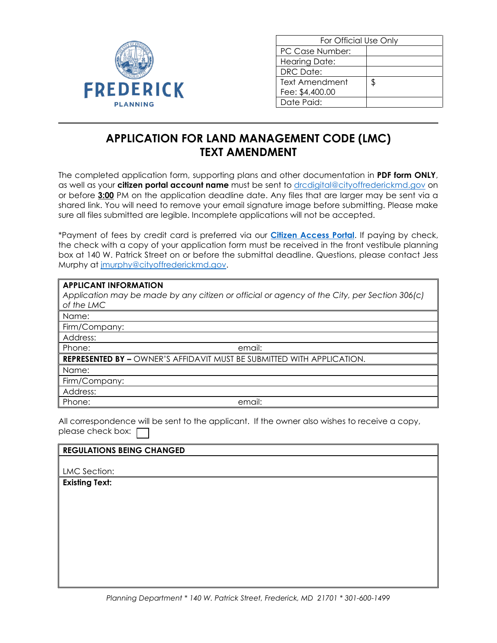

| For Official Use Only |    |  |
|-----------------------|----|--|
| PC Case Number:       |    |  |
| <b>Hearing Date:</b>  |    |  |
| DRC Date:             |    |  |
| Text Amendment        | S. |  |
| Fee: \$4,400.00       |    |  |
| Date Paid:            |    |  |

## **APPLICATION FOR LAND MANAGEMENT CODE (LMC) TEXT AMENDMENT**

The completed application form, supporting plans and other documentation in **PDF form ONLY**, as well as your **citizen portal account name** must be sent to [drcdigital@cityoffrederickmd.gov](mailto:drcdigital@cityoffrederickmd.gov) on or before **3:00** PM on the application deadline date. Any files that are larger may be sent via a shared link. You will need to remove your email signature image before submitting. Please make sure all files submitted are legible. Incomplete applications will not be accepted.

\*Payment of fees by credit card is preferred via our **[Citizen Access Portal](https://gcc02.safelinks.protection.outlook.com/?url=https%3A%2F%2Fcitizenaccess.cityoffrederick.com%2Fcitizenaccess%2F&data=02%7C01%7Cgcollard%40cityoffrederickmd.gov%7Cad3d08217e17487711b308d7d4cd9765%7Cc379f8550dee4b099f890cee3aa7f761%7C0%7C0%7C637211851779890394&sdata=fTC85eZgbuzzFKzq%2Fio%2FHxCILWPquIWiY8bsVzLfTtM%3D&reserved=0)**. If paying by check, the check with a copy of your application form must be received in the front vestibule planning box at 140 W. Patrick Street on or before the submittal deadline. Questions, please contact Jess Murphy at [jmurphy@cityoffrederickmd.gov.](mailto:jmurphy@cityoffrederickmd.gov)

## **APPLICANT INFORMATION**

| Application may be made by any citizen or official or agency of the City, per Section 306(c)<br>of the LMC |  |
|------------------------------------------------------------------------------------------------------------|--|
| Name:                                                                                                      |  |
| Firm/Company:                                                                                              |  |
| Address:                                                                                                   |  |
| Phone:<br>email:                                                                                           |  |
| <b>REPRESENTED BY - OWNER'S AFFIDAVIT MUST BE SUBMITTED WITH APPLICATION.</b>                              |  |
| Name:                                                                                                      |  |
| Firm/Company:                                                                                              |  |
| Address:                                                                                                   |  |
| Phone:<br>email:                                                                                           |  |

All correspondence will be sent to the applicant. If the owner also wishes to receive a copy, please check box:  $\Box$ 

| <b>REGULATIONS BEING CHANGED</b> |  |
|----------------------------------|--|
|                                  |  |
| LMC Section:                     |  |
| <b>Existing Text:</b>            |  |
|                                  |  |
|                                  |  |
|                                  |  |
|                                  |  |
|                                  |  |
|                                  |  |
|                                  |  |
|                                  |  |
|                                  |  |
|                                  |  |